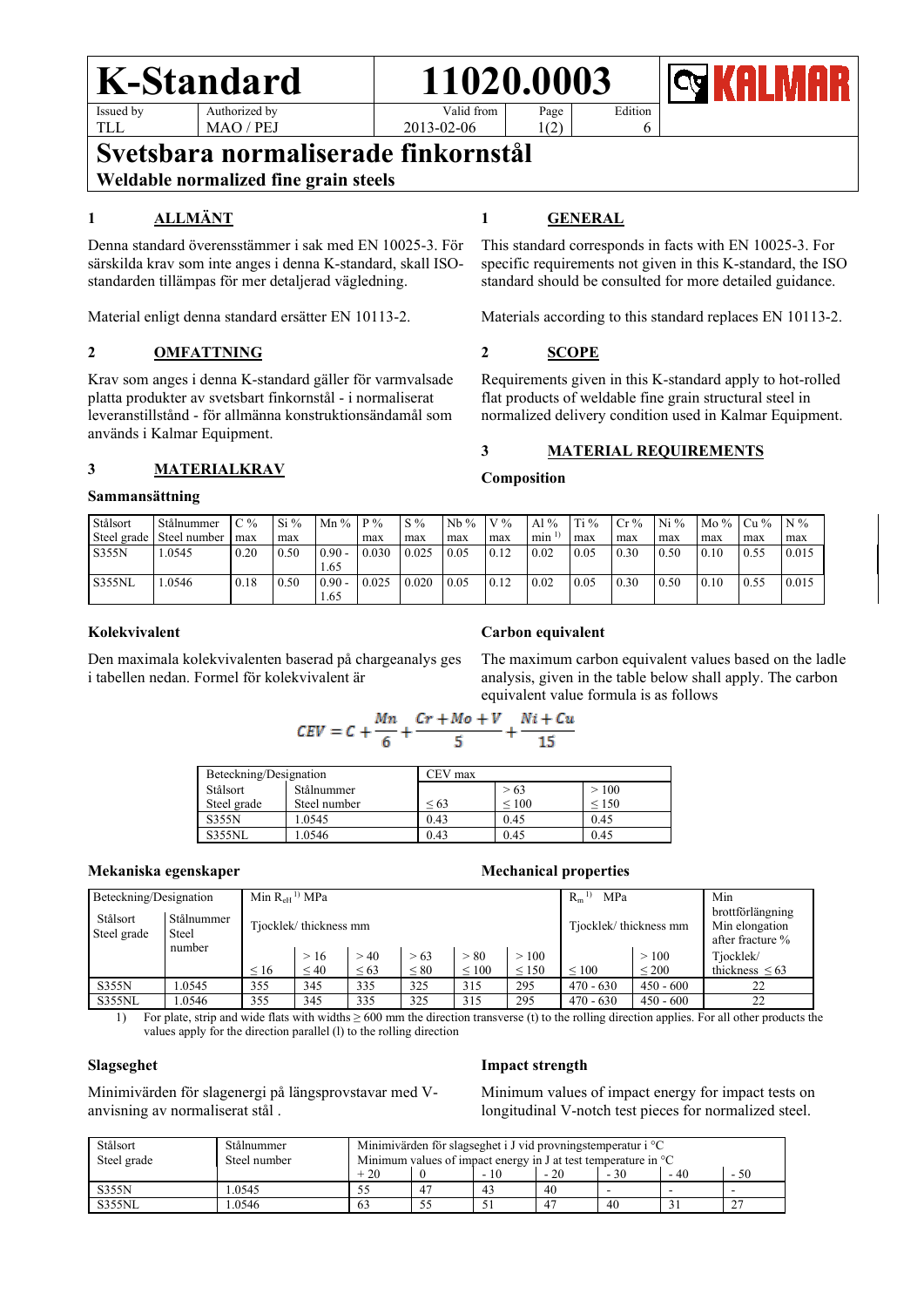### **K-Standard 11020.0003** Issued by Authorized by

Valid from Page

2013-02-06

Edition

6

**Svetsbara normaliserade finkornstål**

**Weldable normalized fine grain steels**

MAO / PEJ

# **1 ALLMÄNT**

TLL

Denna standard överensstämmer i sak med EN 10025-3. För särskilda krav som inte anges i denna K-standard, skall ISOstandarden tillämpas för mer detaljerad vägledning.

Material enligt denna standard ersätter EN 10113-2.

# **2 OMFATTNING**

Krav som anges i denna K-standard gäller för varmvalsade platta produkter av svetsbart finkornstål - i normaliserat leveranstillstånd - för allmänna konstruktionsändamål som används i Kalmar Equipment.

## **3 MATERIALKRAV**

### **Sammansättning**

### Stålsort Steel grade Stålnummer Steel number  $C<sub>0</sub>$ max  $Si\%$ max Mn % P % max S % max Nb % max  $V\%$ max Al %  $min<sup>1</sup>$ Ti % max Cr% max Ni % max Mo % max Cu % max  $\overline{N\%}$ max S355N 1.0545 0.20 0.50 0.90 1.65 0.030 0.025 0.05 0.12 0.02 0.05 0.30 0.50 0.10 0.55 0.015 S355NL 1.0546 0.18 0.50 0.90 1.65 0.025 0.020 0.05 0.12 0.02 0.05 0.30 0.50 0.10 0.55 0.015

## **Kolekvivalent**

Den maximala kolekvivalenten baserad på chargeanalys ges i tabellen nedan. Formel för kolekvivalent är

# **1 GENERAL**

1(2)

This standard corresponds in facts with EN 10025-3. For specific requirements not given in this K-standard, the ISO standard should be consulted for more detailed guidance.

Materials according to this standard replaces EN 10113-2.

## **2 SCOPE**

Requirements given in this K-standard apply to hot-rolled flat products of weldable fine grain structural steel in normalized delivery condition used in Kalmar Equipment.

## **3 MATERIAL REQUIREMENTS**

### **Composition**

# **Carbon equivalent**

The maximum carbon equivalent values based on the ladle analysis, given in the table below shall apply. The carbon equivalent value formula is as follows

$$
CEV = C + \frac{Mn}{6} + \frac{Cr + Mo + V}{5} + \frac{Ni + Cu}{15}
$$

| Beteckning/Designation |              | CEV max    |                 |            |  |  |
|------------------------|--------------|------------|-----------------|------------|--|--|
| Stålsort               | Stålnummer   |            | > 63            | >100       |  |  |
| Steel grade            | Steel number | ${}^{<}63$ | ${}_{\leq 100}$ | ${}_{150}$ |  |  |
| <b>S355N</b>           | 1.0545       | 0.43       | 0.45            | 0.45       |  |  |
| S355NL                 | .0546        | 0.43       | 0.45            | 0.45       |  |  |

### **Mekaniska egenskaper Mechanical properties**

| Beteckning/Designation  |                     | Min $R_{\rm eH}$ <sup>1)</sup> MPa |           |           |           | MPa<br>$R_m$ |                       | Min             |                                                        |                     |
|-------------------------|---------------------|------------------------------------|-----------|-----------|-----------|--------------|-----------------------|-----------------|--------------------------------------------------------|---------------------|
| Stålsort<br>Steel grade | Stålnummer<br>Steel | Tjocklek/thickness mm              |           |           |           |              | Tjocklek/thickness mm |                 | brottförlängning<br>Min elongation<br>after fracture % |                     |
|                         | number              |                                    | >16       | > 40      | > 63      | > 80         | >100                  |                 | >100                                                   | Tjocklek/           |
|                         |                     | $\leq 16$                          | $\leq 40$ | $\leq 63$ | $\leq 80$ | $\leq 100$   | $\leq 150$            | ${}_{\leq 100}$ | $\leq 200$                                             | thickness $\leq 63$ |
| <b>S355N</b>            | 1.0545              | 355                                | 345       | 335       | 325       | 315          | 295                   | $470 - 630$     | $450 - 600$                                            | 22                  |
| S355NL                  | 1.0546              | 355                                | 345       | 335       | 325       | 315          | 295                   | $470 - 630$     | $450 - 600$                                            | 22                  |

1) For plate, strip and wide flats with widths ≥ 600 mm the direction transverse (t) to the rolling direction applies. For all other products the values apply for the direction parallel (l) to the rolling direction

### **Slagseghet**

### **Impact strength**

Minimivärden för slagenergi på längsprovstavar med Vanvisning av normaliserat stål .

Minimum values of impact energy for impact tests on longitudinal V-notch test pieces for normalized steel.

| Stålsort<br>Steel grade | Stålnummer<br>Steel number | Minimivärden för slagseghet i J vid provningstemperatur i $^{\circ}C$<br>Minimum values of impact energy in J at test temperature in $\mathrm{C}$ |    |                |       |       |      |      |  |
|-------------------------|----------------------------|---------------------------------------------------------------------------------------------------------------------------------------------------|----|----------------|-------|-------|------|------|--|
|                         |                            | $+20$                                                                                                                                             |    |                | $-20$ | $-30$ | - 40 | - 50 |  |
| <b>S355N</b>            | .0545                      |                                                                                                                                                   | 47 | 4 <sup>3</sup> | 40    |       |      |      |  |
| <b>S355NL</b>           | .0546                      | 63                                                                                                                                                | 55 |                | 47    | 40    |      |      |  |